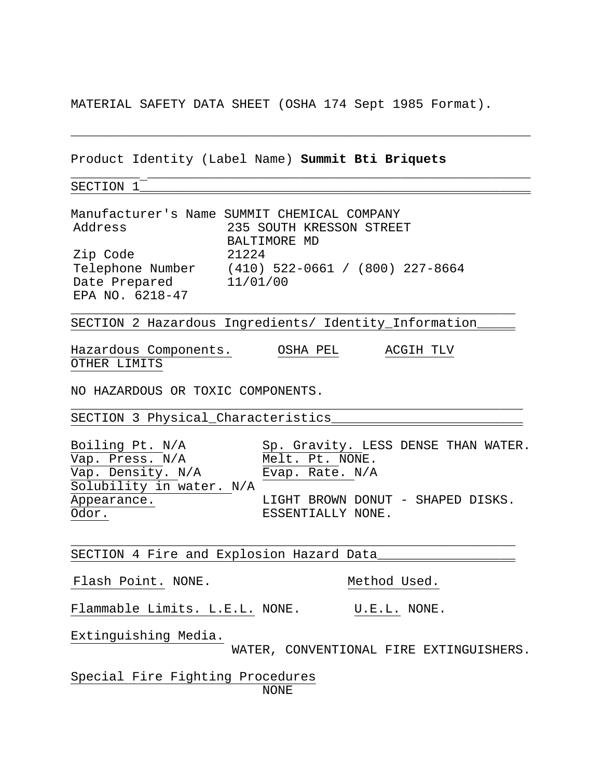MATERIAL SAFETY DATA SHEET (OSHA 174 Sept 1985 Format).

\_\_\_\_\_\_\_\_\_\_\_\_\_\_\_\_\_\_\_\_\_\_\_\_\_\_\_\_\_\_\_\_\_\_\_\_\_\_\_\_\_\_\_\_\_\_\_\_\_\_\_\_\_\_\_\_\_\_\_\_

\_\_\_\_\_\_\_\_\_ \_\_\_\_\_\_\_\_\_\_\_\_\_\_\_\_\_\_\_\_\_\_\_\_\_\_\_\_\_\_\_\_\_\_\_\_\_\_\_\_\_\_\_\_\_\_\_\_\_\_

Product Identity (Label Name) **Summit Bti Briquets**

SECTION 1

Manufacturer's Name SUMMIT CHEMICAL COMPANY 235 SOUTH KRESSON STREET BALTIMORE MD Zip Code 21224 Telephone Number (410) 522-0661 / (800) 227-8664 Telephone Number (410) 52:<br>Date Prepared 11/01/00 EPA NO. 6218-47

SECTION 2 Hazardous Ingredients/ Identity\_Information\_

\_\_\_\_\_\_\_\_\_\_\_\_\_\_\_\_\_\_\_\_\_\_\_\_\_\_\_\_\_\_\_\_\_\_\_\_\_\_\_\_\_\_\_\_\_\_\_\_\_\_\_\_\_\_\_\_\_\_

\_\_\_\_\_\_\_\_\_\_\_\_\_\_\_\_\_\_\_\_\_\_\_\_\_\_\_\_\_\_\_\_\_\_\_\_\_\_\_\_\_\_\_\_\_\_\_\_\_\_\_\_\_\_\_\_\_\_\_

\_\_\_\_\_\_\_\_\_\_\_\_\_\_\_\_\_\_\_\_\_\_\_\_\_\_\_\_\_\_\_\_\_\_\_\_\_\_\_\_\_\_\_\_\_\_\_\_\_\_\_\_\_\_\_\_\_\_

Hazardous Components. OSHA PEL ACGIH TLV OTHER LIMITS

NO HAZARDOUS OR TOXIC COMPONENTS.

SECTION 3 Physical\_Characteristics\_\_\_\_\_\_\_\_\_\_\_\_\_\_\_\_\_\_\_\_\_\_\_\_\_

Vap. Press. N/A Melt. Pt. NONE. Vap. Density. N/A Evap. Rate. N/A Solubility in water. N/A Odor. SESSENTIALLY NONE.

Boiling Pt. N/A Sp. Gravity. LESS DENSE THAN WATER. Appearance. LIGHT BROWN DONUT - SHAPED DISKS.

SECTION 4 Fire and Explosion Hazard Data\_\_\_\_\_\_\_\_\_\_\_\_\_\_\_\_\_\_

Flash Point. NONE. Not have not have not have not had used.

Flammable Limits. L.E.L. NONE. U.E.L. NONE.

Extinguishing Media.

WATER, CONVENTIONAL FIRE EXTINGUISHERS.

Special Fire Fighting Procedures NONE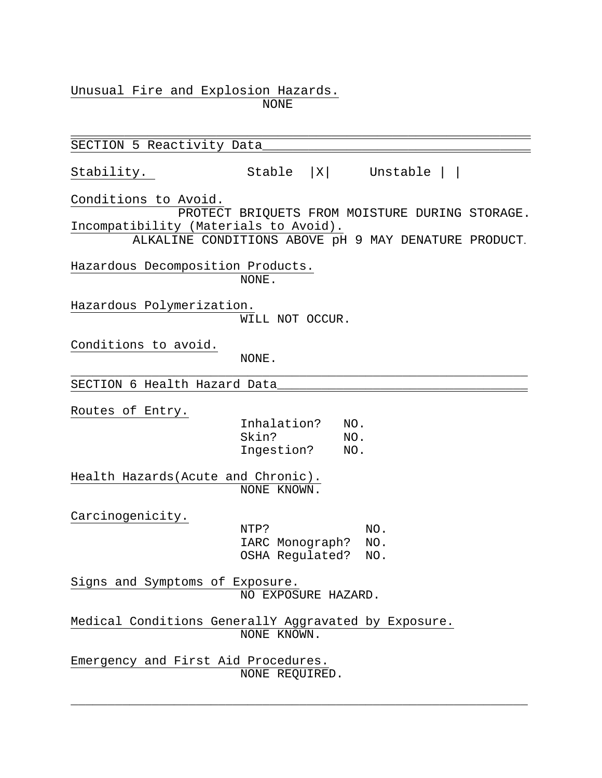Unusual Fire and Explosion Hazards.

NONE

\_\_\_\_\_\_\_\_\_\_\_\_\_\_\_\_\_\_\_\_\_\_\_\_\_\_\_\_\_\_\_\_\_\_\_\_\_\_\_\_\_\_\_\_\_\_\_\_\_\_\_\_\_\_\_\_\_\_\_\_ SECTION 5 Reactivity Data Stability. Stable |X| Unstable | | Conditions to Avoid. PROTECT BRIQUETS FROM MOISTURE DURING STORAGE. Incompatibility (Materials to Avoid). ALKALINE CONDITIONS ABOVE pH 9 MAY DENATURE PRODUCT. Hazardous Decomposition Products. NONE. Hazardous Polymerization. WILL NOT OCCUR. Conditions to avoid. NONE. \_\_\_\_\_\_\_\_\_\_\_\_\_\_\_\_\_\_\_\_\_\_\_\_\_\_\_\_\_\_\_\_\_\_\_\_\_\_\_\_\_\_\_\_\_\_\_\_\_\_\_\_\_\_\_\_\_\_\_\_\_\_ SECTION 6 Health Hazard Data Routes of Entry. Inhalation? NO. Skin? NO.<br>Ingestion? NO. Ingestion? Health Hazards(Acute and Chronic). NONE KNOWN. Carcinogenicity. NTP? NO. IARC Monograph? NO. OSHA Regulated? NO. Signs and Symptoms of Exposure. NO EXPOSURE HAZARD. Medical Conditions GenerallY Aggravated by Exposure. NONE KNOWN. Emergency and First Aid Procedures. NONE REQUIRED.

\_\_\_\_\_\_\_\_\_\_\_\_\_\_\_\_\_\_\_\_\_\_\_\_\_\_\_\_\_\_\_\_\_\_\_\_\_\_\_\_\_\_\_\_\_\_\_\_\_\_\_\_\_\_\_\_\_\_\_\_\_\_